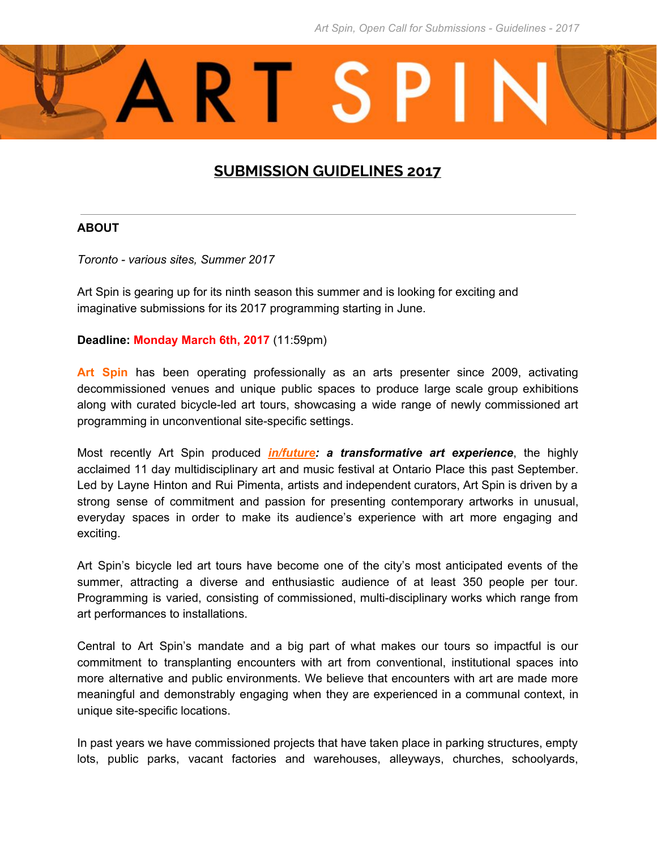

# **SUBMISSION GUIDELINES 2017**

#### **ABOUT**

*Toronto - various sites, Summer 2017*

Art Spin is gearing up for its ninth season this summer and is looking for exciting and imaginative submissions for its 2017 programming starting in June.

#### **Deadline: Monday March 6th, 2017** (11:59pm)

**Art Spin** has been operating professionally as an arts presenter since 2009, activating decommissioned venues and unique public spaces to produce large scale group exhibitions along with curated bicycle-led art tours, showcasing a wide range of newly commissioned art programming in unconventional site-specific settings.

Most recently Art Spin produced *[in/future:](http://www.infuture.ca/) a transforma tive art experience*, the highly acclaimed 11 day multidisciplinary art and music festival at Ontario Place this past September. Led by Layne Hinton and Rui Pimenta, artists and independent curators, Art Spin is driven by a strong sense of commitment and passion for presenting contemporary artworks in unusual, everyday spaces in order to make its audience's experience with art more engaging and exciting.

Art Spin's bicycle led art tours have become one of the city's most anticipated events of the summer, attracting a diverse and enthusiastic audience of at least 350 people per tour. Programming is varied, consisting of commissioned, multi-disciplinary works which range from art performances to installations.

Central to Art Spin's mandate and a big part of what makes our tours so impactful is our commitment to transplanting encounters with art from conventional, institutional spaces into more alternative and public environments. We believe that encounters with art are made more meaningful and demonstrably engaging when they are experienced in a communal context, in unique site-specific locations.

In past years we have commissioned projects that have taken place in parking structures, empty lots, public parks, vacant factories and warehouses, alleyways, churches, schoolyards,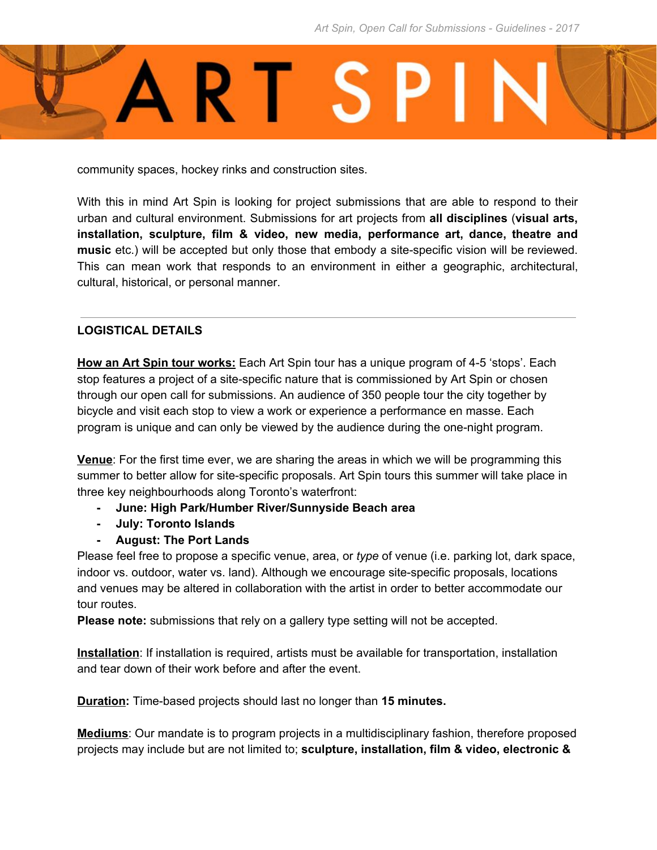

community spaces, hockey rinks and construction sites.

With this in mind Art Spin is looking for project submissions that are able to respond to their urban and cultural environment. Submissions for art projects from **all disciplines** (**visual arts, installation, sculpture, film & video, new media, performance art, dance, theatre and music** etc.) will be accepted but only those that embody a site-specific vision will be reviewed. This can mean work that responds to an environment in either a geographic, architectural, cultural, historical, or personal manner.

## **LOGISTICAL DETAILS**

**How an Art Spin tour works:** Each Art Spin tour has a unique program of 4-5 'stops'. Each stop features a project of a site-specific nature that is commissioned by Art Spin or chosen through our open call for submissions. An audience of 350 people tour the city together by bicycle and visit each stop to view a work or experience a performance en masse. Each program is unique and can only be viewed by the audience during the one-night program.

**Venue**: For the first time ever, we are sharing the areas in which we will be programming this summer to better allow for site-specific proposals. Art Spin tours this summer will take place in three key neighbourhoods along Toronto's waterfront:

- **- June: High Park/Humber River/Sunnyside Beach area**
- **- July: Toronto Islands**
- **- August: The Port Lands**

Please feel free to propose a specific venue, area, or *type* of venue (i.e. parking lot, dark space, indoor vs. outdoor, water vs. land). Although we encourage site-specific proposals, locations and venues may be altered in collaboration with the artist in order to better accommodate our tour routes.

**Please note:** submissions that rely on a gallery type setting will not be accepted.

**Installation**: If installation is required, artists must be available for transportation, installation and tear down of their work before and after the event.

**Duration:** Time-based projects should last no longer than **15 minutes.**

**Mediums**: Our mandate is to program projects in a multidisciplinary fashion, therefore proposed projects may include but are not limited to; **sculpture, installation, film & video, electronic &**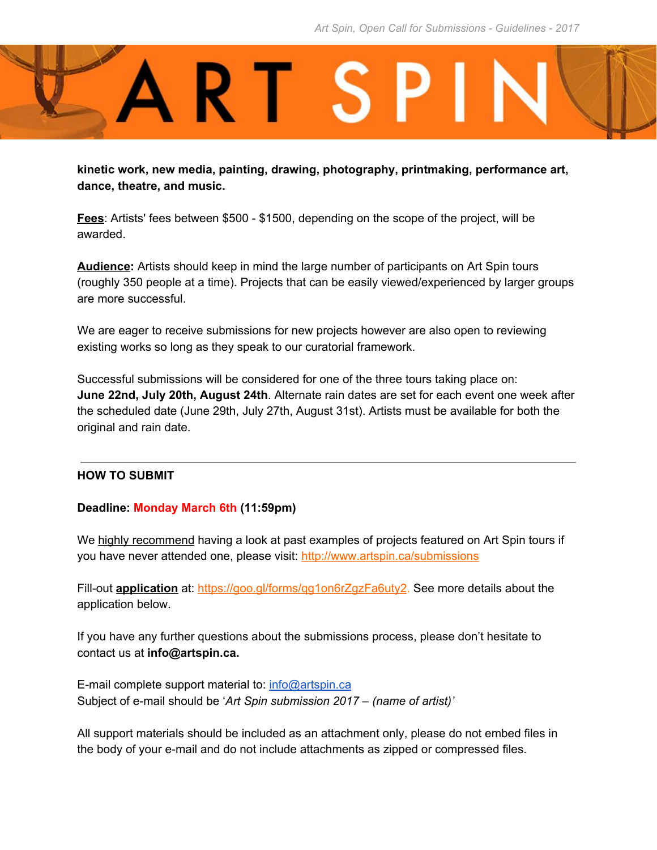

**kinetic work, new media, painting, drawing, photography, printmaking, performance art, dance, theatre, and music.**

**Fees**: Artists' fees between \$500 - \$1500, depending on the scope of the project, will be awarded.

**Audience:** Artists should keep in mind the large number of participants on Art Spin tours (roughly 350 people at a time). Projects that can be easily viewed/experienced by larger groups are more successful.

We are eager to receive submissions for new projects however are also open to reviewing existing works so long as they speak to our curatorial framework.

Successful submissions will be considered for one of the three tours taking place on: **June 22nd, July 20th, August 24th**. Alternate rain dates are set for each event one week after the scheduled date (June 29th, July 27th, August 31st). Artists must be available for both the original and rain date.

#### **HOW TO SUBMIT**

#### **Deadline: Monday March 6th (11:59pm)**

We highly recommend having a look at past examples of projects featured on Art Spin tours if you have never attended one, please visit: <http://www.artspin.ca/submissions>

Fill-out **application** at: [https://goo.gl/forms/qg1on6rZgzFa6uty2.](https://goo.gl/forms/qg1on6rZgzFa6uty2) See more details about the application below.

If you have any further questions about the submissions process, please don't hesitate to contact us at **info@artspin.ca.**

E-mail complete support material to: [info@artspin.ca](mailto:info@artspin.ca) Subject of e-mail should be '*Art Spin submission 2017 – (name of artist)'*

All support materials should be included as an attachment only, please do not embed files in the body of your e-mail and do not include attachments as zipped or compressed files.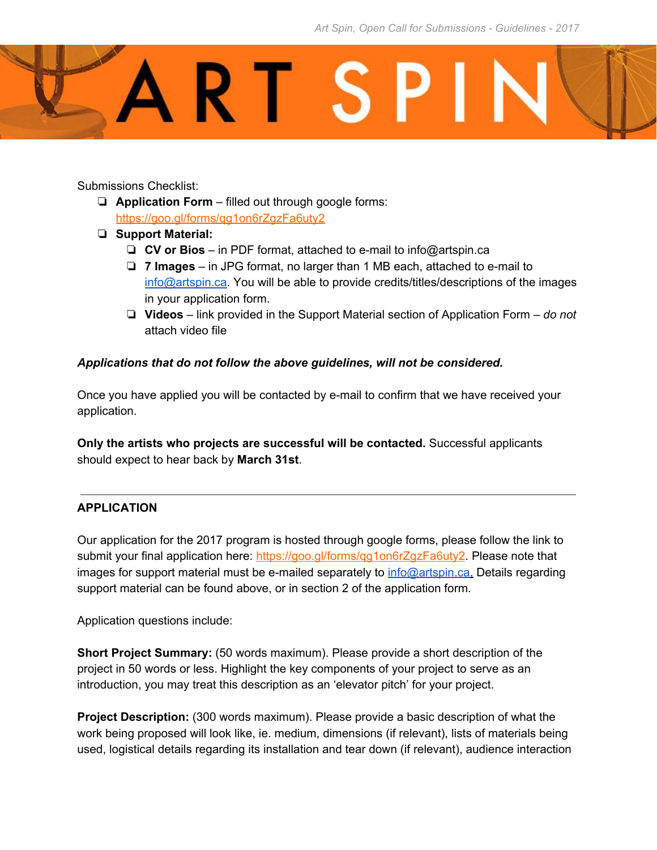

Submissions Checklist:

- ❏ **Application Form** filled out through google forms: <https://goo.gl/forms/qg1on6rZgzFa6uty2>
- ❏ **Support Material:**
	- ❏ **CV or Bios** in PDF format, attached to e-mail to info@artspin.ca
	- ❏ **7 Images** in JPG format, no larger than 1 MB each, attached to e-mail to [info@artspin.ca.](mailto:info@artspin.ca) You will be able to provide credits/titles/descriptions of the images in your application form.
	- ❏ **Videos** link provided in the Support Material section of Application Form *do not* attach video file

### *Applications that do not follow the above guidelines, will not be considered.*

Once you have applied you will be contacted by e-mail to confirm that we have received your application.

**Only the artists who projects are successful will be contacted.** Successful applicants should expect to hear back by **March 31st**.

## **APPLICATION**

Our application for the 2017 program is hosted through google forms, please follow the link to submit your final application here: https://goo.gl/forms/gg1on6rZgzFa6uty2. Please note that images for support material must be e-mailed separately to [info@artspin.ca.](mailto:info@artspin.ca) Details regarding support material can be found above, or in section 2 of the application form.

Application questions include:

**Short Project Summary:** (50 words maximum). Please provide a short description of the project in 50 words or less. Highlight the key components of your project to serve as an introduction, you may treat this description as an 'elevator pitch' for your project.

**Project Description:** (300 words maximum). Please provide a basic description of what the work being proposed will look like, ie. medium, dimensions (if relevant), lists of materials being used, logistical details regarding its installation and tear down (if relevant), audience interaction